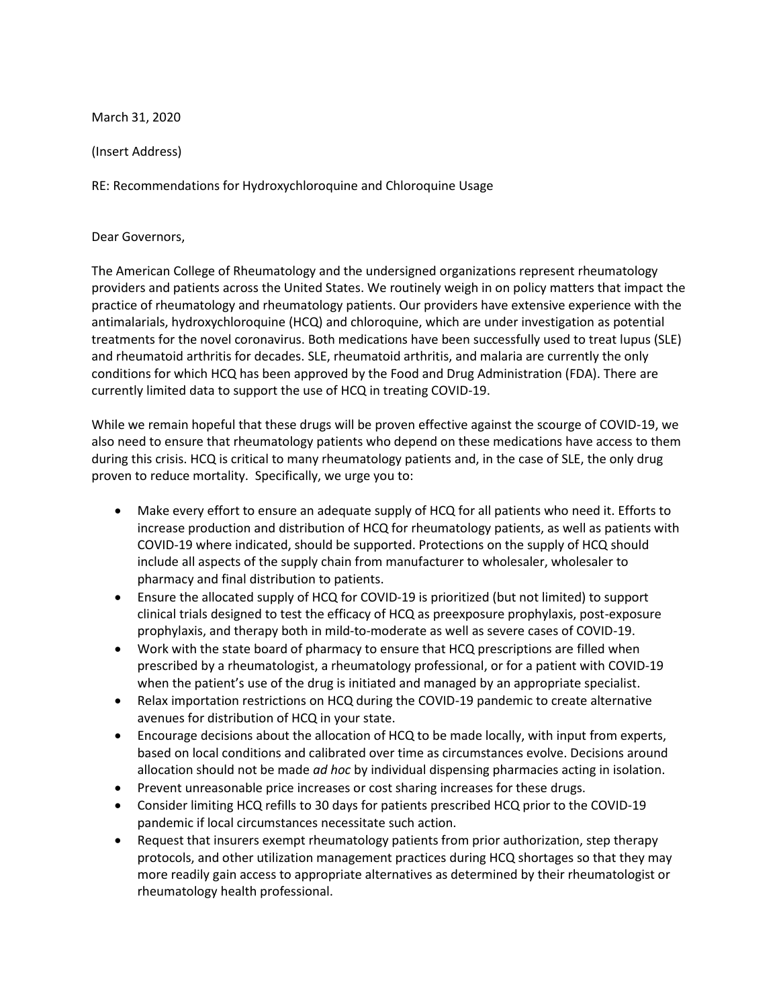March 31, 2020

(Insert Address)

RE: Recommendations for Hydroxychloroquine and Chloroquine Usage

## Dear Governors,

The American College of Rheumatology and the undersigned organizations represent rheumatology providers and patients across the United States. We routinely weigh in on policy matters that impact the practice of rheumatology and rheumatology patients. Our providers have extensive experience with the antimalarials, hydroxychloroquine (HCQ) and chloroquine, which are under investigation as potential treatments for the novel coronavirus. Both medications have been successfully used to treat lupus (SLE) and rheumatoid arthritis for decades. SLE, rheumatoid arthritis, and malaria are currently the only conditions for which HCQ has been approved by the Food and Drug Administration (FDA). There are currently limited data to support the use of HCQ in treating COVID-19.

While we remain hopeful that these drugs will be proven effective against the scourge of COVID-19, we also need to ensure that rheumatology patients who depend on these medications have access to them during this crisis. HCQ is critical to many rheumatology patients and, in the case of SLE, the only drug proven to reduce mortality. Specifically, we urge you to:

- Make every effort to ensure an adequate supply of HCQ for all patients who need it. Efforts to increase production and distribution of HCQ for rheumatology patients, as well as patients with COVID-19 where indicated, should be supported. Protections on the supply of HCQ should include all aspects of the supply chain from manufacturer to wholesaler, wholesaler to pharmacy and final distribution to patients.
- Ensure the allocated supply of HCQ for COVID-19 is prioritized (but not limited) to support clinical trials designed to test the efficacy of HCQ as preexposure prophylaxis, post-exposure prophylaxis, and therapy both in mild-to-moderate as well as severe cases of COVID-19.
- Work with the state board of pharmacy to ensure that HCQ prescriptions are filled when prescribed by a rheumatologist, a rheumatology professional, or for a patient with COVID-19 when the patient's use of the drug is initiated and managed by an appropriate specialist.
- Relax importation restrictions on HCQ during the COVID-19 pandemic to create alternative avenues for distribution of HCQ in your state.
- Encourage decisions about the allocation of HCQ to be made locally, with input from experts, based on local conditions and calibrated over time as circumstances evolve. Decisions around allocation should not be made *ad hoc* by individual dispensing pharmacies acting in isolation.
- Prevent unreasonable price increases or cost sharing increases for these drugs.
- Consider limiting HCQ refills to 30 days for patients prescribed HCQ prior to the COVID-19 pandemic if local circumstances necessitate such action.
- Request that insurers exempt rheumatology patients from prior authorization, step therapy protocols, and other utilization management practices during HCQ shortages so that they may more readily gain access to appropriate alternatives as determined by their rheumatologist or rheumatology health professional.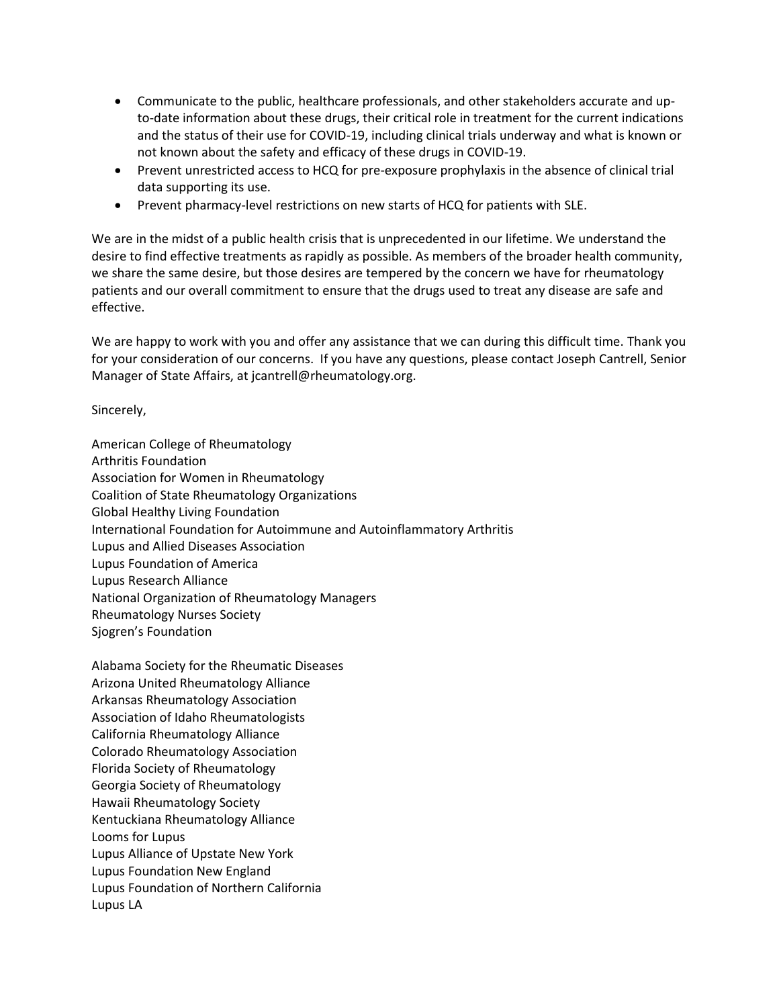- Communicate to the public, healthcare professionals, and other stakeholders accurate and upto-date information about these drugs, their critical role in treatment for the current indications and the status of their use for COVID-19, including clinical trials underway and what is known or not known about the safety and efficacy of these drugs in COVID-19.
- Prevent unrestricted access to HCQ for pre-exposure prophylaxis in the absence of clinical trial data supporting its use.
- Prevent pharmacy-level restrictions on new starts of HCQ for patients with SLE.

We are in the midst of a public health crisis that is unprecedented in our lifetime. We understand the desire to find effective treatments as rapidly as possible. As members of the broader health community, we share the same desire, but those desires are tempered by the concern we have for rheumatology patients and our overall commitment to ensure that the drugs used to treat any disease are safe and effective.

We are happy to work with you and offer any assistance that we can during this difficult time. Thank you for your consideration of our concerns. If you have any questions, please contact Joseph Cantrell, Senior Manager of State Affairs, at jcantrell@rheumatology.org.

Sincerely,

American College of Rheumatology Arthritis Foundation Association for Women in Rheumatology Coalition of State Rheumatology Organizations Global Healthy Living Foundation International Foundation for Autoimmune and Autoinflammatory Arthritis Lupus and Allied Diseases Association Lupus Foundation of America Lupus Research Alliance National Organization of Rheumatology Managers Rheumatology Nurses Society Sjogren's Foundation

Alabama Society for the Rheumatic Diseases Arizona United Rheumatology Alliance Arkansas Rheumatology Association Association of Idaho Rheumatologists California Rheumatology Alliance Colorado Rheumatology Association Florida Society of Rheumatology Georgia Society of Rheumatology Hawaii Rheumatology Society Kentuckiana Rheumatology Alliance Looms for Lupus Lupus Alliance of Upstate New York Lupus Foundation New England Lupus Foundation of Northern California Lupus LA